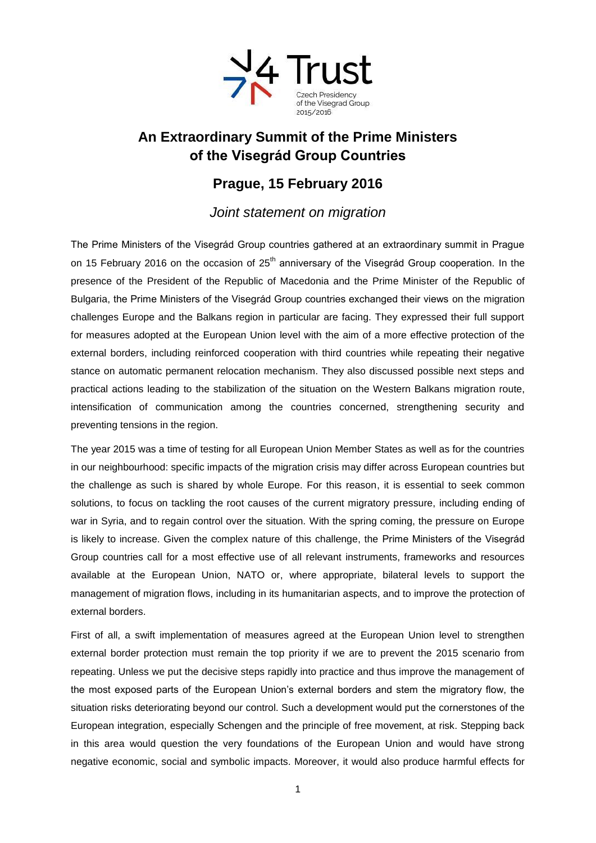

## **An Extraordinary Summit of the Prime Ministers of the Visegrád Group Countries**

## **Prague, 15 February 2016**

## *Joint statement on migration*

The Prime Ministers of the Visegrád Group countries gathered at an extraordinary summit in Prague on 15 February 2016 on the occasion of 25<sup>th</sup> anniversary of the Visegrád Group cooperation. In the presence of the President of the Republic of Macedonia and the Prime Minister of the Republic of Bulgaria, the Prime Ministers of the Visegrád Group countries exchanged their views on the migration challenges Europe and the Balkans region in particular are facing. They expressed their full support for measures adopted at the European Union level with the aim of a more effective protection of the external borders, including reinforced cooperation with third countries while repeating their negative stance on automatic permanent relocation mechanism. They also discussed possible next steps and practical actions leading to the stabilization of the situation on the Western Balkans migration route, intensification of communication among the countries concerned, strengthening security and preventing tensions in the region.

The year 2015 was a time of testing for all European Union Member States as well as for the countries in our neighbourhood: specific impacts of the migration crisis may differ across European countries but the challenge as such is shared by whole Europe. For this reason, it is essential to seek common solutions, to focus on tackling the root causes of the current migratory pressure, including ending of war in Syria, and to regain control over the situation. With the spring coming, the pressure on Europe is likely to increase. Given the complex nature of this challenge, the Prime Ministers of the Visegrád Group countries call for a most effective use of all relevant instruments, frameworks and resources available at the European Union, NATO or, where appropriate, bilateral levels to support the management of migration flows, including in its humanitarian aspects, and to improve the protection of external borders.

First of all, a swift implementation of measures agreed at the European Union level to strengthen external border protection must remain the top priority if we are to prevent the 2015 scenario from repeating. Unless we put the decisive steps rapidly into practice and thus improve the management of the most exposed parts of the European Union's external borders and stem the migratory flow, the situation risks deteriorating beyond our control. Such a development would put the cornerstones of the European integration, especially Schengen and the principle of free movement, at risk. Stepping back in this area would question the very foundations of the European Union and would have strong negative economic, social and symbolic impacts. Moreover, it would also produce harmful effects for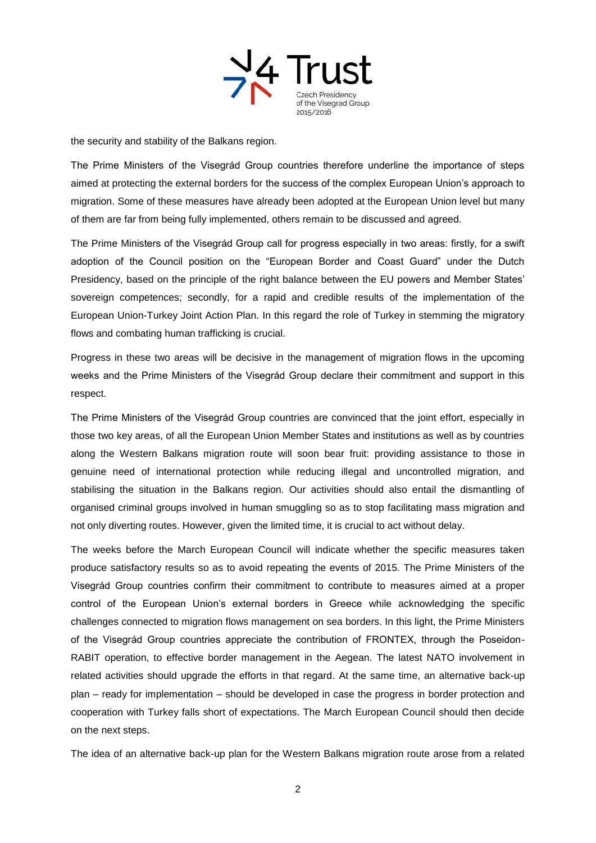

the security and stability of the Balkans region.

The Prime Ministers of the Visegrád Group countries therefore underline the importance of steps aimed at protecting the external borders for the success of the complex European Union's approach to migration. Some of these measures have already been adopted at the European Union level but many of them are far from being fully implemented, others remain to be discussed and agreed.

The Prime Ministers of the Visegrád Group call for progress especially in two areas: firstly, for a swift adoption of the Council position on the "European Border and Coast Guard" under the Dutch Presidency, based on the principle of the right balance between the EU powers and Member States' sovereign competences; secondly, for a rapid and credible results of the implementation of the European Union-Turkey Joint Action Plan. In this regard the role of Turkey in stemming the migratory flows and combating human trafficking is crucial.

Progress in these two areas will be decisive in the management of migration flows in the upcoming weeks and the Prime Ministers of the Visegrád Group declare their commitment and support in this respect.

The Prime Ministers of the Visegrád Group countries are convinced that the joint effort, especially in those two key areas, of all the European Union Member States and institutions as well as by countries along the Western Balkans migration route will soon bear fruit: providing assistance to those in genuine need of international protection while reducing illegal and uncontrolled migration, and stabilising the situation in the Balkans region. Our activities should also entail the dismantling of organised criminal groups involved in human smuggling so as to stop facilitating mass migration and not only diverting routes. However, given the limited time, it is crucial to act without delay.

The weeks before the March European Council will indicate whether the specific measures taken produce satisfactory results so as to avoid repeating the events of 2015. The Prime Ministers of the Visegrád Group countries confirm their commitment to contribute to measures aimed at a proper control of the European Union's external borders in Greece while acknowledging the specific challenges connected to migration flows management on sea borders. In this light, the Prime Ministers of the Visegrád Group countries appreciate the contribution of FRONTEX, through the Poseidon-RABIT operation, to effective border management in the Aegean. The latest NATO involvement in related activities should upgrade the efforts in that regard. At the same time, an alternative back-up plan – ready for implementation – should be developed in case the progress in border protection and cooperation with Turkey falls short of expectations. The March European Council should then decide on the next steps.

The idea of an alternative back-up plan for the Western Balkans migration route arose from a related